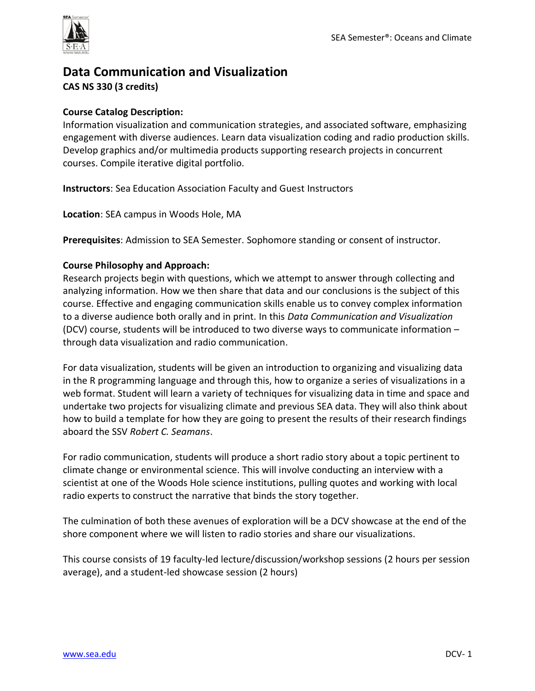

# **Data Communication and Visualization CAS NS 330 (3 credits)**

# **Course Catalog Description:**

Information visualization and communication strategies, and associated software, emphasizing engagement with diverse audiences. Learn data visualization coding and radio production skills. Develop graphics and/or multimedia products supporting research projects in concurrent courses. Compile iterative digital portfolio.

**Instructors**: Sea Education Association Faculty and Guest Instructors

**Location**: SEA campus in Woods Hole, MA

**Prerequisites**: Admission to SEA Semester. Sophomore standing or consent of instructor.

#### **Course Philosophy and Approach:**

Research projects begin with questions, which we attempt to answer through collecting and analyzing information. How we then share that data and our conclusions is the subject of this course. Effective and engaging communication skills enable us to convey complex information to a diverse audience both orally and in print. In this *Data Communication and Visualization* (DCV) course, students will be introduced to two diverse ways to communicate information – through data visualization and radio communication.

For data visualization, students will be given an introduction to organizing and visualizing data in the R programming language and through this, how to organize a series of visualizations in a web format. Student will learn a variety of techniques for visualizing data in time and space and undertake two projects for visualizing climate and previous SEA data. They will also think about how to build a template for how they are going to present the results of their research findings aboard the SSV *Robert C. Seamans*.

For radio communication, students will produce a short radio story about a topic pertinent to climate change or environmental science. This will involve conducting an interview with a scientist at one of the Woods Hole science institutions, pulling quotes and working with local radio experts to construct the narrative that binds the story together.

The culmination of both these avenues of exploration will be a DCV showcase at the end of the shore component where we will listen to radio stories and share our visualizations.

This course consists of 19 faculty-led lecture/discussion/workshop sessions (2 hours per session average), and a student-led showcase session (2 hours)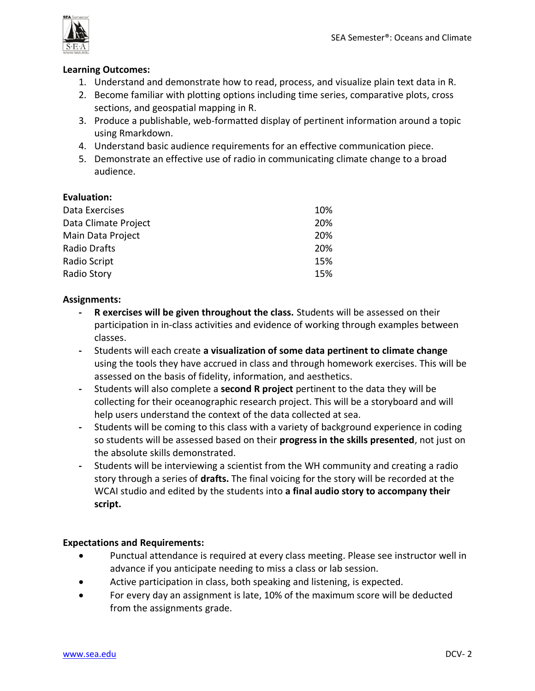

#### **Learning Outcomes:**

- 1. Understand and demonstrate how to read, process, and visualize plain text data in R.
- 2. Become familiar with plotting options including time series, comparative plots, cross sections, and geospatial mapping in R.
- 3. Produce a publishable, web-formatted display of pertinent information around a topic using Rmarkdown.
- 4. Understand basic audience requirements for an effective communication piece.
- 5. Demonstrate an effective use of radio in communicating climate change to a broad audience.

### **Evaluation:**

| 10%        |
|------------|
| <b>20%</b> |
| 20%        |
| 20%        |
| 15%        |
| 15%        |
|            |

### **Assignments:**

- **- R exercises will be given throughout the class.** Students will be assessed on their participation in in-class activities and evidence of working through examples between classes.
- **-** Students will each create **a visualization of some data pertinent to climate change**  using the tools they have accrued in class and through homework exercises. This will be assessed on the basis of fidelity, information, and aesthetics.
- **-** Students will also complete a **second R project** pertinent to the data they will be collecting for their oceanographic research project. This will be a storyboard and will help users understand the context of the data collected at sea.
- **-** Students will be coming to this class with a variety of background experience in coding so students will be assessed based on their **progress in the skills presented**, not just on the absolute skills demonstrated.
- **-** Students will be interviewing a scientist from the WH community and creating a radio story through a series of **drafts.** The final voicing for the story will be recorded at the WCAI studio and edited by the students into **a final audio story to accompany their script.**

# **Expectations and Requirements:**

- Punctual attendance is required at every class meeting. Please see instructor well in advance if you anticipate needing to miss a class or lab session.
- Active participation in class, both speaking and listening, is expected.
- For every day an assignment is late, 10% of the maximum score will be deducted from the assignments grade.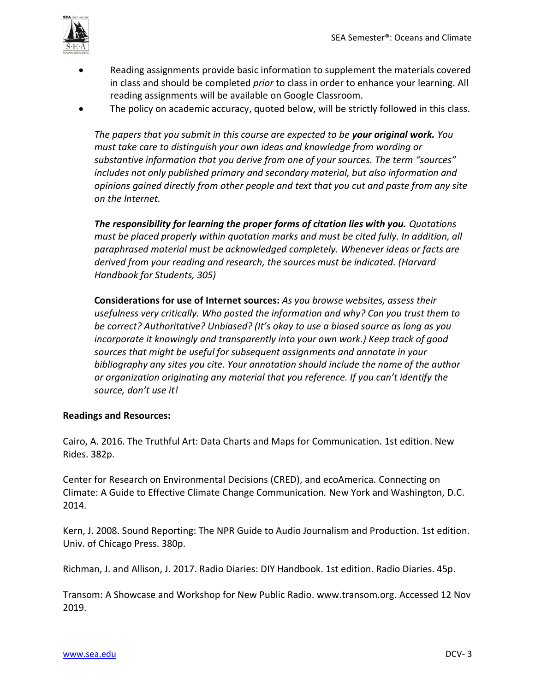

- Reading assignments provide basic information to supplement the materials covered in class and should be completed *prior* to class in order to enhance your learning. All reading assignments will be available on Google Classroom.
- The policy on academic accuracy, quoted below, will be strictly followed in this class.

*The papers that you submit in this course are expected to be your original work. You must take care to distinguish your own ideas and knowledge from wording or substantive information that you derive from one of your sources. The term "sources" includes not only published primary and secondary material, but also information and opinions gained directly from other people and text that you cut and paste from any site on the Internet.*

*The responsibility for learning the proper forms of citation lies with you. Quotations must be placed properly within quotation marks and must be cited fully. In addition, all paraphrased material must be acknowledged completely. Whenever ideas or facts are derived from your reading and research, the sources must be indicated. (Harvard Handbook for Students, 305)*

**Considerations for use of Internet sources:** *As you browse websites, assess their usefulness very critically. Who posted the information and why? Can you trust them to be correct? Authoritative? Unbiased? (It's okay to use a biased source as long as you incorporate it knowingly and transparently into your own work.) Keep track of good sources that might be useful for subsequent assignments and annotate in your bibliography any sites you cite. Your annotation should include the name of the author or organization originating any material that you reference. If you can't identify the source, don't use it!*

#### **Readings and Resources:**

Cairo, A. 2016. The Truthful Art: Data Charts and Maps for Communication. 1st edition. New Rides. 382p.

Center for Research on Environmental Decisions (CRED), and ecoAmerica. Connecting on Climate: A Guide to Effective Climate Change Communication*.* New York and Washington, D.C. 2014.

Kern, J. 2008. Sound Reporting: The NPR Guide to Audio Journalism and Production. 1st edition. Univ. of Chicago Press. 380p.

Richman, J. and Allison, J. 2017. Radio Diaries: DIY Handbook. 1st edition. Radio Diaries. 45p.

Transom: A Showcase and Workshop for New Public Radio. www.transom.org. Accessed 12 Nov 2019.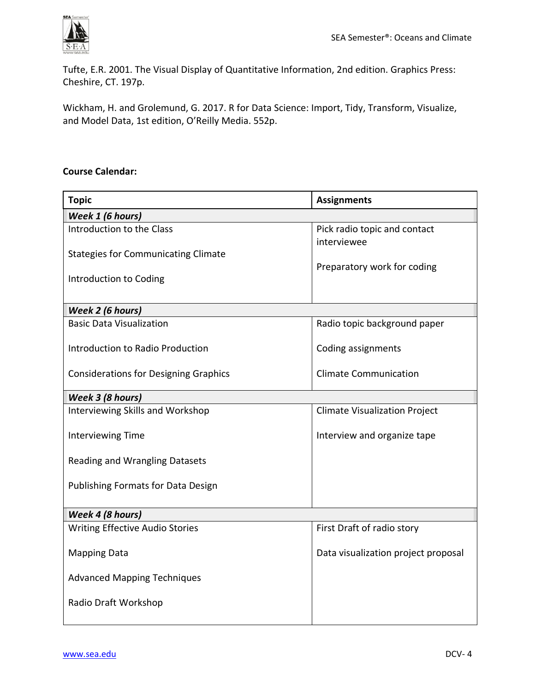

Tufte, E.R. 2001. The Visual Display of Quantitative Information, 2nd edition. Graphics Press: Cheshire, CT. 197p.

Wickham, H. and Grolemund, G. 2017. R for Data Science: Import, Tidy, Transform, Visualize, and Model Data, 1st edition, O'Reilly Media. 552p.

# **Course Calendar:**

| <b>Topic</b>                                 | <b>Assignments</b>                          |
|----------------------------------------------|---------------------------------------------|
| Week 1 (6 hours)                             |                                             |
| Introduction to the Class                    | Pick radio topic and contact<br>interviewee |
| <b>Stategies for Communicating Climate</b>   | Preparatory work for coding                 |
| Introduction to Coding                       |                                             |
| Week 2 (6 hours)                             |                                             |
| <b>Basic Data Visualization</b>              | Radio topic background paper                |
| Introduction to Radio Production             | Coding assignments                          |
| <b>Considerations for Designing Graphics</b> | <b>Climate Communication</b>                |
| Week 3 (8 hours)                             |                                             |
| Interviewing Skills and Workshop             | <b>Climate Visualization Project</b>        |
| Interviewing Time                            | Interview and organize tape                 |
| <b>Reading and Wrangling Datasets</b>        |                                             |
| <b>Publishing Formats for Data Design</b>    |                                             |
| Week 4 (8 hours)                             |                                             |
| <b>Writing Effective Audio Stories</b>       | First Draft of radio story                  |
| <b>Mapping Data</b>                          | Data visualization project proposal         |
| <b>Advanced Mapping Techniques</b>           |                                             |
| Radio Draft Workshop                         |                                             |